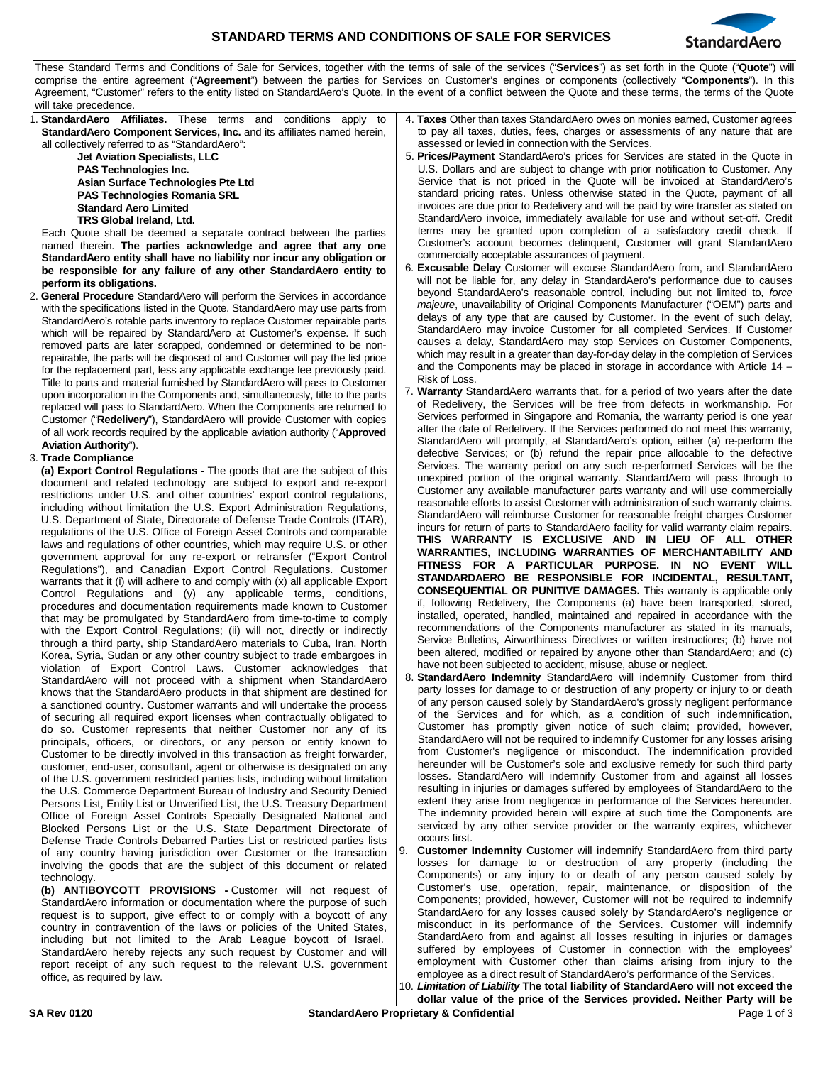

These Standard Terms and Conditions of Sale for Services, together with the terms of sale of the services ("**Services**") as set forth in the Quote ("**Quote**") will comprise the entire agreement ("**Agreement**") between the parties for Services on Customer's engines or components (collectively "**Components**"). In this Agreement, "Customer" refers to the entity listed on StandardAero's Quote. In the event of a conflict between the Quote and these terms, the terms of the Quote will take precedence.

| Agreement, "Customer" refers to the entity listed on StandardAero's Quote. In the event of a conflict between the Quote and these terms, the terms of the Quote<br>will take precedence. |                                                                                       |
|------------------------------------------------------------------------------------------------------------------------------------------------------------------------------------------|---------------------------------------------------------------------------------------|
| 1. StandardAero Affiliates. These terms and conditions apply to                                                                                                                          | 4. Taxes Other than taxes StandardAero owes on monies earned, Customer agrees         |
|                                                                                                                                                                                          | to pay all taxes, duties, fees, charges or assessments of any nature that are         |
| <b>StandardAero Component Services, Inc.</b> and its affiliates named herein,                                                                                                            |                                                                                       |
| all collectively referred to as "StandardAero":                                                                                                                                          | assessed or levied in connection with the Services.                                   |
| Jet Aviation Specialists, LLC                                                                                                                                                            | 5. Prices/Payment StandardAero's prices for Services are stated in the Quote in       |
| <b>PAS Technologies Inc.</b>                                                                                                                                                             | U.S. Dollars and are subject to change with prior notification to Customer. Any       |
| Asian Surface Technologies Pte Ltd                                                                                                                                                       | Service that is not priced in the Quote will be invoiced at StandardAero's            |
| <b>PAS Technologies Romania SRL</b>                                                                                                                                                      | standard pricing rates. Unless otherwise stated in the Quote, payment of all          |
| <b>Standard Aero Limited</b>                                                                                                                                                             | invoices are due prior to Redelivery and will be paid by wire transfer as stated on   |
| TRS Global Ireland, Ltd.                                                                                                                                                                 | StandardAero invoice, immediately available for use and without set-off. Credit       |
| Each Quote shall be deemed a separate contract between the parties                                                                                                                       | terms may be granted upon completion of a satisfactory credit check. If               |
| named therein. The parties acknowledge and agree that any one                                                                                                                            | Customer's account becomes delinquent, Customer will grant StandardAero               |
| StandardAero entity shall have no liability nor incur any obligation or                                                                                                                  | commercially acceptable assurances of payment.                                        |
|                                                                                                                                                                                          | 6. Excusable Delay Customer will excuse StandardAero from, and StandardAero           |
| be responsible for any failure of any other StandardAero entity to                                                                                                                       | will not be liable for, any delay in StandardAero's performance due to causes         |
| perform its obligations.                                                                                                                                                                 | beyond StandardAero's reasonable control, including but not limited to, force         |
| <b>General Procedure</b> StandardAero will perform the Services in accordance<br>2.                                                                                                      |                                                                                       |
| with the specifications listed in the Quote. StandardAero may use parts from                                                                                                             | majeure, unavailability of Original Components Manufacturer ("OEM") parts and         |
| StandardAero's rotable parts inventory to replace Customer repairable parts                                                                                                              | delays of any type that are caused by Customer. In the event of such delay,           |
| which will be repaired by StandardAero at Customer's expense. If such                                                                                                                    | StandardAero may invoice Customer for all completed Services. If Customer             |
| removed parts are later scrapped, condemned or determined to be non-                                                                                                                     | causes a delay, StandardAero may stop Services on Customer Components,                |
| repairable, the parts will be disposed of and Customer will pay the list price                                                                                                           | which may result in a greater than day-for-day delay in the completion of Services    |
| for the replacement part, less any applicable exchange fee previously paid.                                                                                                              | and the Components may be placed in storage in accordance with Article $14 -$         |
| Title to parts and material furnished by StandardAero will pass to Customer                                                                                                              | Risk of Loss.                                                                         |
| upon incorporation in the Components and, simultaneously, title to the parts                                                                                                             | 7. Warranty StandardAero warrants that, for a period of two years after the date      |
| replaced will pass to StandardAero. When the Components are returned to                                                                                                                  | of Redelivery, the Services will be free from defects in workmanship. For             |
| Customer ("Redelivery"), StandardAero will provide Customer with copies                                                                                                                  | Services performed in Singapore and Romania, the warranty period is one year          |
| of all work records required by the applicable aviation authority ("Approved                                                                                                             | after the date of Redelivery. If the Services performed do not meet this warranty,    |
|                                                                                                                                                                                          | StandardAero will promptly, at StandardAero's option, either (a) re-perform the       |
| <b>Aviation Authority").</b>                                                                                                                                                             | defective Services; or (b) refund the repair price allocable to the defective         |
| 3. Trade Compliance                                                                                                                                                                      | Services. The warranty period on any such re-performed Services will be the           |
| (a) Export Control Regulations - The goods that are the subject of this                                                                                                                  | unexpired portion of the original warranty. StandardAero will pass through to         |
| document and related technology are subject to export and re-export                                                                                                                      | Customer any available manufacturer parts warranty and will use commercially          |
| restrictions under U.S. and other countries' export control regulations,                                                                                                                 | reasonable efforts to assist Customer with administration of such warranty claims.    |
| including without limitation the U.S. Export Administration Regulations,                                                                                                                 |                                                                                       |
| U.S. Department of State, Directorate of Defense Trade Controls (ITAR),                                                                                                                  | StandardAero will reimburse Customer for reasonable freight charges Customer          |
| regulations of the U.S. Office of Foreign Asset Controls and comparable                                                                                                                  | incurs for return of parts to StandardAero facility for valid warranty claim repairs. |
| laws and regulations of other countries, which may require U.S. or other                                                                                                                 | THIS WARRANTY IS EXCLUSIVE AND IN LIEU OF ALL OTHER                                   |
| government approval for any re-export or retransfer ("Export Control                                                                                                                     | WARRANTIES, INCLUDING WARRANTIES OF MERCHANTABILITY AND                               |
| Regulations"), and Canadian Export Control Regulations. Customer                                                                                                                         | FITNESS FOR A PARTICULAR PURPOSE. IN NO EVENT WILL                                    |
| warrants that it (i) will adhere to and comply with (x) all applicable Export                                                                                                            | STANDARDAERO BE RESPONSIBLE FOR INCIDENTAL, RESULTANT,                                |
| Control Regulations and (y) any applicable terms, conditions,                                                                                                                            | <b>CONSEQUENTIAL OR PUNITIVE DAMAGES.</b> This warranty is applicable only            |
| procedures and documentation requirements made known to Customer                                                                                                                         | if, following Redelivery, the Components (a) have been transported, stored,           |
| that may be promulgated by StandardAero from time-to-time to comply                                                                                                                      | installed, operated, handled, maintained and repaired in accordance with the          |
| with the Export Control Regulations; (ii) will not, directly or indirectly                                                                                                               | recommendations of the Components manufacturer as stated in its manuals,              |
|                                                                                                                                                                                          | Service Bulletins, Airworthiness Directives or written instructions; (b) have not     |
| through a third party, ship StandardAero materials to Cuba, Iran, North                                                                                                                  | been altered, modified or repaired by anyone other than StandardAero; and (c)         |
| Korea, Syria, Sudan or any other country subject to trade embargoes in                                                                                                                   | have not been subjected to accident, misuse, abuse or neglect.                        |
| violation of Export Control Laws. Customer acknowledges that                                                                                                                             | 8. StandardAero Indemnity StandardAero will indemnify Customer from third             |
| StandardAero will not proceed with a shipment when StandardAero                                                                                                                          |                                                                                       |
| knows that the StandardAero products in that shipment are destined for                                                                                                                   | party losses for damage to or destruction of any property or injury to or death       |
| a sanctioned country. Customer warrants and will undertake the process                                                                                                                   | of any person caused solely by StandardAero's grossly negligent performance           |
| of securing all required export licenses when contractually obligated to                                                                                                                 | of the Services and for which, as a condition of such indemnification,                |
| do so. Customer represents that neither Customer nor any of its                                                                                                                          | Customer has promptly given notice of such claim; provided, however,                  |
| principals, officers, or directors, or any person or entity known to                                                                                                                     | StandardAero will not be required to indemnify Customer for any losses arising        |
| Customer to be directly involved in this transaction as freight forwarder,                                                                                                               | from Customer's negligence or misconduct. The indemnification provided                |
| customer, end-user, consultant, agent or otherwise is designated on any                                                                                                                  | hereunder will be Customer's sole and exclusive remedy for such third party           |
| of the U.S. government restricted parties lists, including without limitation                                                                                                            | losses. StandardAero will indemnify Customer from and against all losses              |
| the U.S. Commerce Department Bureau of Industry and Security Denied                                                                                                                      | resulting in injuries or damages suffered by employees of StandardAero to the         |
| Persons List, Entity List or Unverified List, the U.S. Treasury Department                                                                                                               | extent they arise from negligence in performance of the Services hereunder.           |
| Office of Foreign Asset Controls Specially Designated National and                                                                                                                       | The indemnity provided herein will expire at such time the Components are             |
| Blocked Persons List or the U.S. State Department Directorate of                                                                                                                         | serviced by any other service provider or the warranty expires, whichever             |
| Defense Trade Controls Debarred Parties List or restricted parties lists                                                                                                                 | occurs first.                                                                         |
| of any country having jurisdiction over Customer or the transaction                                                                                                                      | <b>Customer Indemnity</b> Customer will indemnify StandardAero from third party<br>9. |
| involving the goods that are the subject of this document or related                                                                                                                     | losses for damage to or destruction of any property (including the                    |
| technology.                                                                                                                                                                              | Components) or any injury to or death of any person caused solely by                  |

technology. **(b) ANTIBOYCOTT PROVISIONS -** Customer will not request of StandardAero information or documentation where the purpose of such request is to support, give effect to or comply with a boycott of any country in contravention of the laws or policies of the United States, including but not limited to the Arab League boycott of Israel. StandardAero hereby rejects any such request by Customer and will report receipt of any such request to the relevant U.S. government office, as required by law.

StandardAero from and against all losses resulting in injuries or damages suffered by employees of Customer in connection with the employees' employment with Customer other than claims arising from injury to the employee as a direct result of StandardAero's performance of the Services. 10. *Limitation of Liability* **The total liability of StandardAero will not exceed the dollar value of the price of the Services provided. Neither Party will be** 

Customer's use, operation, repair, maintenance, or disposition of the Components; provided, however, Customer will not be required to indemnify StandardAero for any losses caused solely by StandardAero's negligence or misconduct in its performance of the Services. Customer will indemnify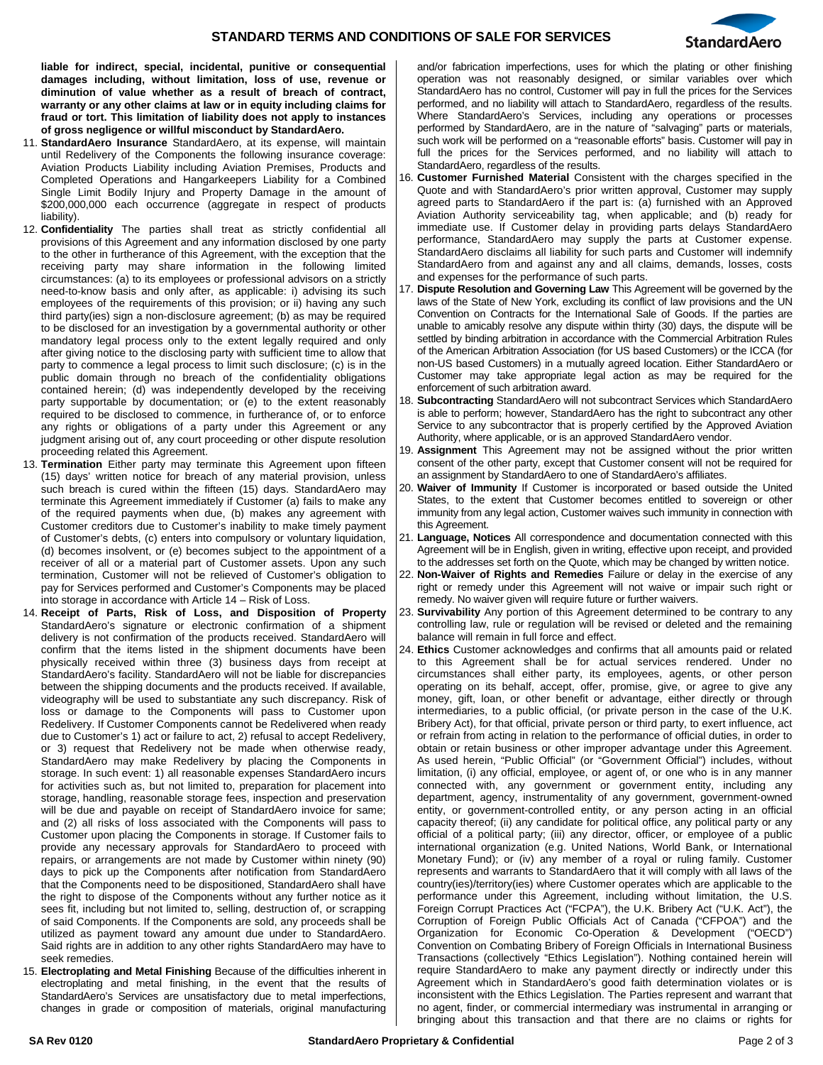

**liable for indirect, special, incidental, punitive or consequential damages including, without limitation, loss of use, revenue or diminution of value whether as a result of breach of contract, warranty or any other claims at law or in equity including claims for fraud or tort. This limitation of liability does not apply to instances of gross negligence or willful misconduct by StandardAero.** 

- 11. **StandardAero Insurance** StandardAero, at its expense, will maintain until Redelivery of the Components the following insurance coverage: Aviation Products Liability including Aviation Premises, Products and Completed Operations and Hangarkeepers Liability for a Combined Single Limit Bodily Injury and Property Damage in the amount of \$200,000,000 each occurrence (aggregate in respect of products liability).
- 12. **Confidentiality** The parties shall treat as strictly confidential all provisions of this Agreement and any information disclosed by one party to the other in furtherance of this Agreement, with the exception that the receiving party may share information in the following limited circumstances: (a) to its employees or professional advisors on a strictly need-to-know basis and only after, as applicable: i) advising its such employees of the requirements of this provision; or ii) having any such third party(ies) sign a non-disclosure agreement; (b) as may be required to be disclosed for an investigation by a governmental authority or other mandatory legal process only to the extent legally required and only after giving notice to the disclosing party with sufficient time to allow that party to commence a legal process to limit such disclosure; (c) is in the public domain through no breach of the confidentiality obligations contained herein; (d) was independently developed by the receiving party supportable by documentation; or (e) to the extent reasonably required to be disclosed to commence, in furtherance of, or to enforce any rights or obligations of a party under this Agreement or any judgment arising out of, any court proceeding or other dispute resolution proceeding related this Agreement.
- 13. **Termination** Either party may terminate this Agreement upon fifteen (15) days' written notice for breach of any material provision, unless such breach is cured within the fifteen (15) days. StandardAero may terminate this Agreement immediately if Customer (a) fails to make any of the required payments when due, (b) makes any agreement with Customer creditors due to Customer's inability to make timely payment of Customer's debts, (c) enters into compulsory or voluntary liquidation, (d) becomes insolvent, or (e) becomes subject to the appointment of a receiver of all or a material part of Customer assets. Upon any such termination, Customer will not be relieved of Customer's obligation to pay for Services performed and Customer's Components may be placed into storage in accordance with Article 14 – Risk of Loss.
- 14. **Receipt of Parts, Risk of Loss, and Disposition of Property** StandardAero's signature or electronic confirmation of a shipment delivery is not confirmation of the products received. StandardAero will confirm that the items listed in the shipment documents have been physically received within three (3) business days from receipt at StandardAero's facility. StandardAero will not be liable for discrepancies between the shipping documents and the products received. If available, videography will be used to substantiate any such discrepancy. Risk of loss or damage to the Components will pass to Customer upon Redelivery. If Customer Components cannot be Redelivered when ready due to Customer's 1) act or failure to act, 2) refusal to accept Redelivery, or 3) request that Redelivery not be made when otherwise ready, StandardAero may make Redelivery by placing the Components in storage. In such event: 1) all reasonable expenses StandardAero incurs for activities such as, but not limited to, preparation for placement into storage, handling, reasonable storage fees, inspection and preservation will be due and payable on receipt of StandardAero invoice for same; and (2) all risks of loss associated with the Components will pass to Customer upon placing the Components in storage. If Customer fails to provide any necessary approvals for StandardAero to proceed with repairs, or arrangements are not made by Customer within ninety (90) days to pick up the Components after notification from StandardAero that the Components need to be dispositioned, StandardAero shall have the right to dispose of the Components without any further notice as it sees fit, including but not limited to, selling, destruction of, or scrapping of said Components. If the Components are sold, any proceeds shall be utilized as payment toward any amount due under to StandardAero. Said rights are in addition to any other rights StandardAero may have to seek remedies.
- 15. **Electroplating and Metal Finishing** Because of the difficulties inherent in electroplating and metal finishing, in the event that the results of StandardAero's Services are unsatisfactory due to metal imperfections, changes in grade or composition of materials, original manufacturing

and/or fabrication imperfections, uses for which the plating or other finishing operation was not reasonably designed, or similar variables over which StandardAero has no control, Customer will pay in full the prices for the Services performed, and no liability will attach to StandardAero, regardless of the results. Where StandardAero's Services, including any operations or processes performed by StandardAero, are in the nature of "salvaging" parts or materials, such work will be performed on a "reasonable efforts" basis. Customer will pay in full the prices for the Services performed, and no liability will attach to StandardAero, regardless of the results.

- 16. **Customer Furnished Material** Consistent with the charges specified in the Quote and with StandardAero's prior written approval, Customer may supply agreed parts to StandardAero if the part is: (a) furnished with an Approved Aviation Authority serviceability tag, when applicable; and (b) ready for immediate use. If Customer delay in providing parts delays StandardAero performance, StandardAero may supply the parts at Customer expense. StandardAero disclaims all liability for such parts and Customer will indemnify StandardAero from and against any and all claims, demands, losses, costs and expenses for the performance of such parts.
- 17. **Dispute Resolution and Governing Law** This Agreement will be governed by the laws of the State of New York, excluding its conflict of law provisions and the UN Convention on Contracts for the International Sale of Goods. If the parties are unable to amicably resolve any dispute within thirty (30) days, the dispute will be settled by binding arbitration in accordance with the Commercial Arbitration Rules of the American Arbitration Association (for US based Customers) or the ICCA (for non-US based Customers) in a mutually agreed location. Either StandardAero or Customer may take appropriate legal action as may be required for the enforcement of such arbitration award.
- 18. **Subcontracting** StandardAero will not subcontract Services which StandardAero is able to perform; however, StandardAero has the right to subcontract any other Service to any subcontractor that is properly certified by the Approved Aviation Authority, where applicable, or is an approved StandardAero vendor.
- 19. **Assignment** This Agreement may not be assigned without the prior written consent of the other party, except that Customer consent will not be required for an assignment by StandardAero to one of StandardAero's affiliates.
- 20. **Waiver of Immunity** If Customer is incorporated or based outside the United States, to the extent that Customer becomes entitled to sovereign or other immunity from any legal action, Customer waives such immunity in connection with this Agreement.
- 21. **Language, Notices** All correspondence and documentation connected with this Agreement will be in English, given in writing, effective upon receipt, and provided to the addresses set forth on the Quote, which may be changed by written notice.
- 22. **Non-Waiver of Rights and Remedies** Failure or delay in the exercise of any right or remedy under this Agreement will not waive or impair such right or remedy. No waiver given will require future or further waivers.
- 23. **Survivability** Any portion of this Agreement determined to be contrary to any controlling law, rule or regulation will be revised or deleted and the remaining balance will remain in full force and effect.
- 24. **Ethics** Customer acknowledges and confirms that all amounts paid or related to this Agreement shall be for actual services rendered. Under no circumstances shall either party, its employees, agents, or other person operating on its behalf, accept, offer, promise, give, or agree to give any money, gift, loan, or other benefit or advantage, either directly or through intermediaries, to a public official, (or private person in the case of the U.K. Bribery Act), for that official, private person or third party, to exert influence, act or refrain from acting in relation to the performance of official duties, in order to obtain or retain business or other improper advantage under this Agreement. As used herein, "Public Official" (or "Government Official") includes, without limitation, (i) any official, employee, or agent of, or one who is in any manner connected with, any government or government entity, including any department, agency, instrumentality of any government, government-owned entity, or government-controlled entity, or any person acting in an official capacity thereof; (ii) any candidate for political office, any political party or any official of a political party; (iii) any director, officer, or employee of a public international organization (e.g. United Nations, World Bank, or International Monetary Fund); or (iv) any member of a royal or ruling family. Customer represents and warrants to StandardAero that it will comply with all laws of the country(ies)/territory(ies) where Customer operates which are applicable to the performance under this Agreement, including without limitation, the U.S. Foreign Corrupt Practices Act ("FCPA"), the U.K. Bribery Act ("U.K. Act"), the Corruption of Foreign Public Officials Act of Canada ("CFPOA") and the Organization for Economic Co-Operation & Development ("OECD") Convention on Combating Bribery of Foreign Officials in International Business Transactions (collectively "Ethics Legislation"). Nothing contained herein will require StandardAero to make any payment directly or indirectly under this Agreement which in StandardAero's good faith determination violates or is inconsistent with the Ethics Legislation. The Parties represent and warrant that no agent, finder, or commercial intermediary was instrumental in arranging or bringing about this transaction and that there are no claims or rights for